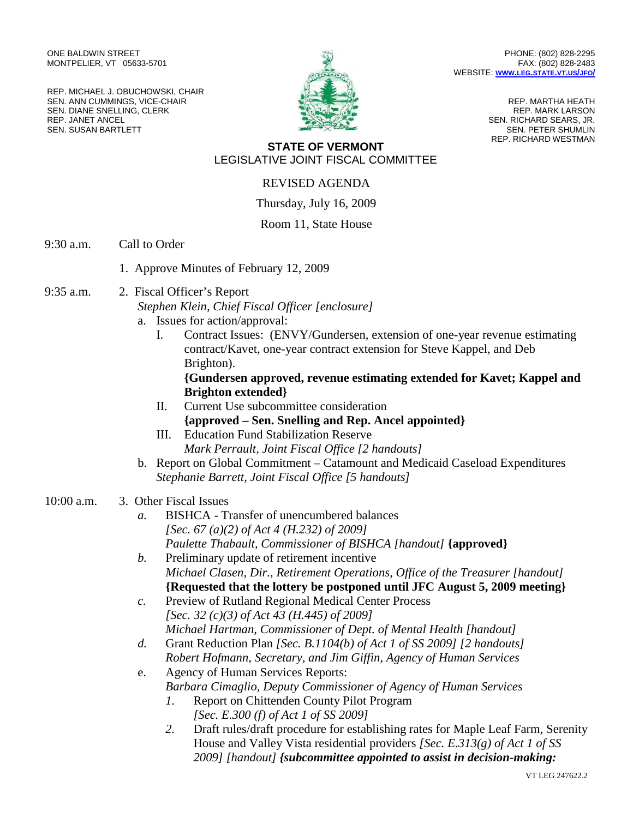ONE BALDWIN STREET MONTPELIER, VT 05633-5701

REP. MICHAEL J. OBUCHOWSKI, CHAIR SEN. ANN CUMMINGS, VICE-CHAIR SEN. DIANE SNELLING, CLERK REP. JANET ANCEL SEN. SUSAN BARTLETT



PHONE: (802) 828-2295 FAX: (802) 828-2483 WEBSITE: **WWW.LEG.[STATE](http://www.leg.state.vt.us/jfo/).VT.US/JFO/**

> REP. MARTHA HEATH REP. MARK LARSON SEN. RICHARD SEARS, JR. SEN. PETER SHUMLIN REP. RICHARD WESTMAN

### **STATE OF VERMONT** LEGISLATIVE JOINT FISCAL COMMITTEE

## REVISED AGENDA

#### Thursday, July 16, 2009

### Room 11, State House

- 9:30 a.m. Call to Order
	- 1. Approve Minutes of February 12, 2009
- 9:35 a.m. 2. Fiscal Officer's Report

*Stephen Klein, Chief Fiscal Officer [enclosure]* a. Issues for action/approval:

I. Contract Issues: (ENVY/Gundersen, extension of one-year revenue estimating contract/Kavet, one-year contract extension for Steve Kappel, and Deb Brighton).

### **{Gundersen approved, revenue estimating extended for Kavet; Kappel and Brighton extended}**

- II. Current Use subcommittee consideration **{approved – Sen. Snelling and Rep. Ancel appointed}**
- III. Education Fund Stabilization Reserve *Mark Perrault, Joint Fiscal Office [2 handouts]*
- b. Report on Global Commitment Catamount and Medicaid Caseload Expenditures *Stephanie Barrett, Joint Fiscal Office [5 handouts]*

### 10:00 a.m. 3. Other Fiscal Issues

- *a.* BISHCA Transfer of unencumbered balances *[Sec. 67 (a)(2) of Act 4 (H.232) of 2009] Paulette Thabault, Commissioner of BISHCA [handout]* **{approved}**
- *b.* Preliminary update of retirement incentive *Michael Clasen, Dir., Retirement Operations, Office of the Treasurer [handout]* **{Requested that the lottery be postponed until JFC August 5, 2009 meeting}**
- *c.* Preview of Rutland Regional Medical Center Process *[Sec. 32 (c)(3) of Act 43 (H.445) of 2009] Michael Hartman, Commissioner of Dept. of Mental Health [handout]*
- *d.* Grant Reduction Plan *[Sec. B.1104(b) of Act 1 of SS 2009] [2 handouts] Robert Hofmann, Secretary, and Jim Giffin, Agency of Human Services*
- e. Agency of Human Services Reports: *Barbara Cimaglio, Deputy Commissioner of Agency of Human Services*
	- *1.* Report on Chittenden County Pilot Program *[Sec. E.300 (f) of Act 1 of SS 2009]*
	- *2.* Draft rules/draft procedure for establishing rates for Maple Leaf Farm, Serenity House and Valley Vista residential providers *[Sec. E.313(g) of Act 1 of SS 2009] [handout] {subcommittee appointed to assist in decision-making:*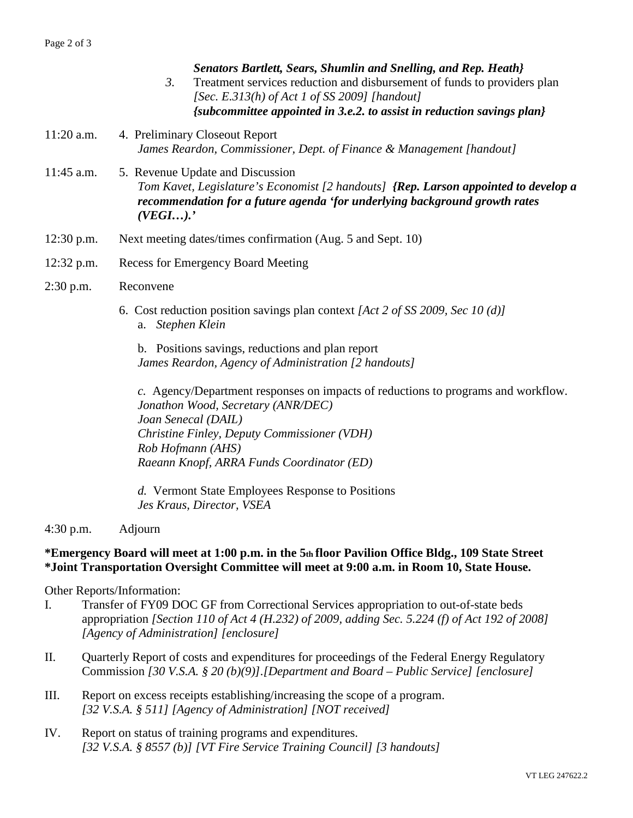|              | Senators Bartlett, Sears, Shumlin and Snelling, and Rep. Heath}<br>Treatment services reduction and disbursement of funds to providers plan<br>3.<br>[Sec. E.313(h) of Act 1 of SS 2009] [handout]<br>{subcommittee appointed in 3.e.2. to assist in reduction savings plan} |
|--------------|------------------------------------------------------------------------------------------------------------------------------------------------------------------------------------------------------------------------------------------------------------------------------|
| $11:20$ a.m. | 4. Preliminary Closeout Report<br>James Reardon, Commissioner, Dept. of Finance & Management [handout]                                                                                                                                                                       |
| $11:45$ a.m. | 5. Revenue Update and Discussion<br>Tom Kavet, Legislature's Economist [2 handouts] {Rep. Larson appointed to develop a<br>recommendation for a future agenda 'for underlying background growth rates<br>(VEGI).                                                             |
| $12:30$ p.m. | Next meeting dates/times confirmation (Aug. 5 and Sept. 10)                                                                                                                                                                                                                  |
| $12:32$ p.m. | <b>Recess for Emergency Board Meeting</b>                                                                                                                                                                                                                                    |
| $2:30$ p.m.  | Reconvene                                                                                                                                                                                                                                                                    |
|              | 6. Cost reduction position savings plan context [Act 2 of SS 2009, Sec 10 (d)]<br>a. Stephen Klein                                                                                                                                                                           |
|              | b. Positions savings, reductions and plan report<br>James Reardon, Agency of Administration [2 handouts]                                                                                                                                                                     |
|              | a Agonay/Department regnonges on impects of reductions to programs and workflow                                                                                                                                                                                              |

*c.* Agency/Department responses on impacts of reductions to programs and workflow. *Jonathon Wood, Secretary (ANR/DEC) Joan Senecal (DAIL) Christine Finley, Deputy Commissioner (VDH) Rob Hofmann (AHS) Raeann Knopf, ARRA Funds Coordinator (ED)*

*d.* Vermont State Employees Response to Positions *Jes Kraus, Director, VSEA*

4:30 p.m. Adjourn

# **\*Emergency Board will meet at 1:00 p.m. in the 5th floor Pavilion Office Bldg., 109 State Street \*Joint Transportation Oversight Committee will meet at 9:00 a.m. in Room 10, State House.**

Other Reports/Information:

- I. Transfer of FY09 DOC GF from Correctional Services appropriation to out-of-state beds appropriation *[Section 110 of Act 4 (H.232) of 2009, adding Sec. 5.224 (f) of Act 192 of 2008] [Agency of Administration] [enclosure]*
- II. Quarterly Report of costs and expenditures for proceedings of the Federal Energy Regulatory Commission *[30 V.S.A. § 20 (b)(9)].[Department and Board – Public Service] [enclosure]*
- III. Report on excess receipts establishing/increasing the scope of a program. *[32 V.S.A. § 511] [Agency of Administration] [NOT received]*
- IV. Report on status of training programs and expenditures. *[32 V.S.A. § 8557 (b)] [VT Fire Service Training Council] [3 handouts]*